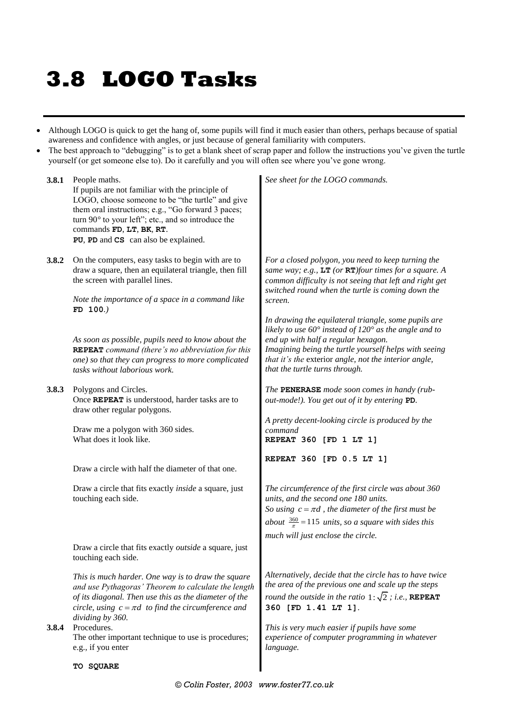## **3.8 LOGO Tasks**

- Although LOGO is quick to get the hang of, some pupils will find it much easier than others, perhaps because of spatial awareness and confidence with angles, or just because of general familiarity with computers.
- The best approach to "debugging" is to get a blank sheet of scrap paper and follow the instructions you've given the turtle yourself (or get someone else to). Do it carefully and you will often see where you've gone wrong.

**3.8.1** People maths. If pupils are not familiar with the principle of LOGO, choose someone to be "the turtle" and give them oral instructions; e.g., "Go forward 3 paces; turn 90*°* to your left"; etc., and so introduce the commands **FD**, **LT**, **BK**, **RT**. **PU**, **PD** and **CS** can also be explained.

**3.8.2** On the computers, easy tasks to begin with are to draw a square, then an equilateral triangle, then fill the screen with parallel lines.

> *Note the importance of a space in a command like*  **FD 100***.)*

*As soon as possible, pupils need to know about the*  **REPEAT** *command (there's no abbreviation for this one) so that they can progress to more complicated tasks without laborious work.*

**3.8.3** Polygons and Circles. Once **REPEAT** is understood, harder tasks are to draw other regular polygons.

> Draw me a polygon with 360 sides. What does it look like.

Draw a circle with half the diameter of that one.

Draw a circle that fits exactly *inside* a square, just touching each side.

Draw a circle that fits exactly *outside* a square, just touching each side.

*This is much harder. One way is to draw the square and use Pythagoras' Theorem to calculate the length of its diagonal. Then use this as the diameter of the circle, using*  $c = \pi d$  to find the circumference and *dividing by 360.*

**3.8.4** Procedures. The other important technique to use is procedures; e.g., if you enter

**TO SQUARE**

*See sheet for the LOGO commands.*

*For a closed polygon, you need to keep turning the same way; e.g.,* **LT** *(or* **RT***)four times for a square. A common difficulty is not seeing that left and right get switched round when the turtle is coming down the screen.*

*In drawing the equilateral triangle, some pupils are likely to use 60° instead of 120° as the angle and to end up with half a regular hexagon. Imagining being the turtle yourself helps with seeing that it's the* exterior *angle, not the interior angle, that the turtle turns through.*

*The* **PENERASE** *mode soon comes in handy (rubout-mode!). You get out of it by entering* **PD***.*

*A pretty decent-looking circle is produced by the command* **REPEAT 360 [FD 1 LT 1]**

**REPEAT 360 [FD 0.5 LT 1]**

*The circumference of the first circle was about 360 units, and the second one 180 units. So using*  $c = \pi d$ , the diameter of the first must be about  $\frac{360}{\pi}$  = 115 units, so a square with sides this *much will just enclose the circle.*

*Alternatively, decide that the circle has to have twice the area of the previous one and scale up the steps round the outside in the ratio*  $1:\sqrt{2}$  *; i.e.*, **REPEAT 360 [FD 1.41 LT 1]**.

*This is very much easier if pupils have some experience of computer programming in whatever language.*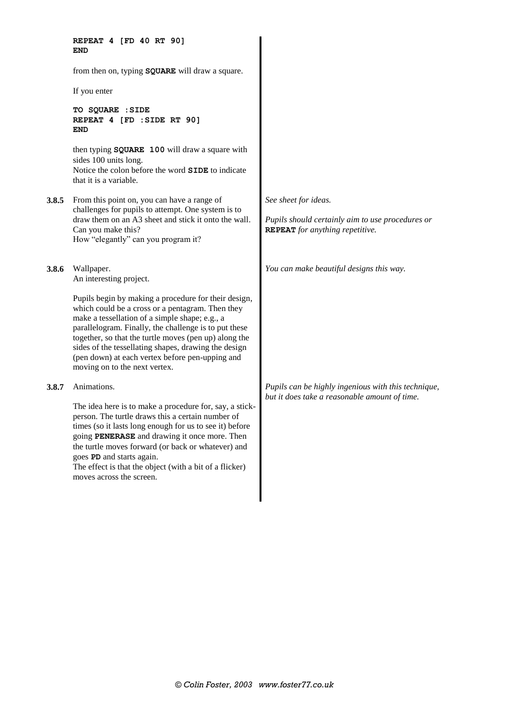**REPEAT 4 [FD 40 RT 90] END** from then on, typing **SQUARE** will draw a square. If you enter **TO SQUARE :SIDE REPEAT 4 [FD :SIDE RT 90] END** then typing **SQUARE 100** will draw a square with sides 100 units long. Notice the colon before the word **SIDE** to indicate that it is a variable. **3.8.5** From this point on, you can have a range of challenges for pupils to attempt. One system is to draw them on an A3 sheet and stick it onto the wall. Can you make this? How "elegantly" can you program it? **3.8.6** Wallpaper. An interesting project. Pupils begin by making a procedure for their design, which could be a cross or a pentagram. Then they make a tessellation of a simple shape; e.g., a parallelogram. Finally, the challenge is to put these together, so that the turtle moves (pen up) along the sides of the tessellating shapes, drawing the design (pen down) at each vertex before pen-upping and moving on to the next vertex. **3.8.7** Animations. The idea here is to make a procedure for, say, a stickperson. The turtle draws this a certain number of times (so it lasts long enough for us to see it) before going **PENERASE** and drawing it once more. Then the turtle moves forward (or back or whatever) and goes **PD** and starts again. The effect is that the object (with a bit of a flicker)

moves across the screen.

*See sheet for ideas.*

*Pupils should certainly aim to use procedures or*  **REPEAT** *for anything repetitive.*

*You can make beautiful designs this way.*

*Pupils can be highly ingenious with this technique, but it does take a reasonable amount of time.*